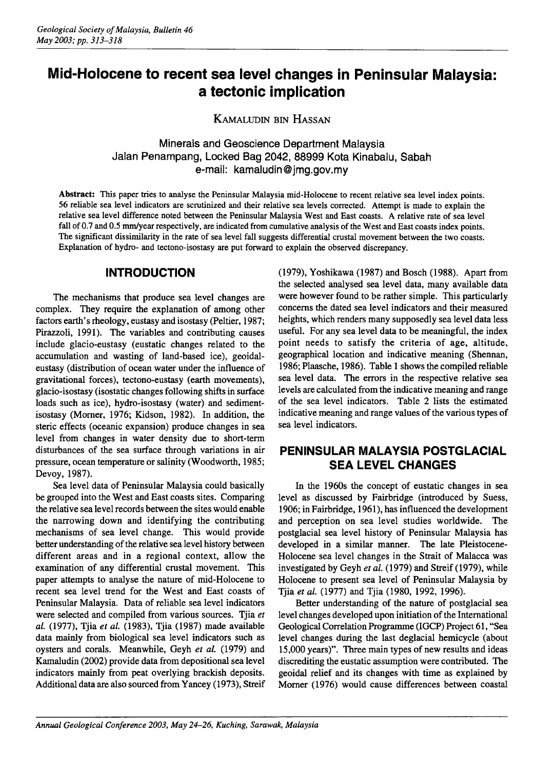# **Mid-Holocene to recent sea level changes in Peninsular Malaysia: a tectonic implication**

KAMALUOIN BIN HASSAN

Minerals and Geoscience Department Malaysia Jalan Penampang, Locked Bag 2042,88999 Kota Kinabalu, Sabah e-mail: kamaludin@jmg.gov.my

Abstract: This paper tries to analyse the Peninsular Malaysia mid-Holocene to recent relative sea level index points. 56 reliable sea level indicators are scrutinized and their relative sea levels corrected. Attempt is made to explain the relative sea level difference noted between the Peninsular Malaysia West and East coasts. A relative rate of sea level fall of 0.7 and 0.5 mm/year respectively, are indicated from cumulative analysis of the West and East coasts index points. The significant dissimilarity in the rate of sea level fall suggests differential crustal movement between the two coasts. Explanation of hydro- and tectono-isostasy are put forward to explain the observed discrepancy.

### **INTRODUCTION**

The mechanisms that produce sea level changes are complex. They require the explanation of among other factors earth's rheology, eustasy and isostasy (peltier, 1987; Pirazzoli, 1991). The variables and contributing causes include glacio-eustasy (eustatic changes related to the accumulation and wasting of land-based ice), geoidaleustasy (distribution of ocean water under the influence of gravitational forces), tectono-eustasy (earth movements), glacio-isostasy (isostatic changes following shifts in surface loads such as ice), hydro-isostasy (water) and sedimentisostasy (Morner, 1976; Kidson, 1982). In addition, the steric effects (oceanic expansion) produce changes in sea level from changes in water density due to short-term disturbances of the sea surface through variations in air pressure, ocean temperature or salinity (Woodworth, 1985; Devoy, 1987).

Sea level data of Peninsular Malaysia could basically be grouped into the West and East coasts sites. Comparing the relative sea level records between the sites would enable the narrowing down and identifying the contributing mechanisms of sea level change. This would provide better understanding of the relative sea level history between different areas and in a regional context, allow the examination of any differential crustal movement. This paper attempts to analyse the nature of mid-Holocene to recent sea level trend for the West and East coasts of Peninsular Malaysia. Data of reliable sea level indicators were selected and compiled from various sources. Tjia *et al.* (1977), Tjia *et al.* (1983), Tjia (1987) made available data mainly from biological sea level indicators such as oysters and corals. Meanwhile, Geyh *et al.* (1979) and Kamaludin (2002) provide data from depositional sea level indicators mainly from peat overlying brackish deposits. Additional data are also sourced from Yancey (1973), Streif

(1979), Yoshikawa (1987) and Bosch (1988). Apart from the selected analysed sea level data, many available data were however found to be rather simple. This particularly concerns the dated sea level indicators and their measured heights, which renders many supposedly sea level data less useful. For any sea level data to be meaningful, the index point needs to satisfy the criteria of age, altitude, geographical location and indicative meaning (Shennan, 1986; Plaasche, 1986). Table 1 shows the compiled reliable sea level data. The errors in the respective relative sea levels are calculated from the indicative meaning and range of the sea level indicators. Table 2 lists the estimated indicative meaning and range values of the various types of sea level indicators.

# **PENINSULAR MALAYSIA POSTGLACIAL SEA LEVEL CHANGES**

In the 1960s the concept of eustatic changes in sea level as discussed by Fairbridge (introduced by Suess, 1906; in Fairbridge, 1961), has influenced the development and perception on sea level studies worldwide. The postglacial sea level history of Peninsular Malaysia has developed in a similar manner. The late Pleistocene-Holocene sea level changes in the Strait of Malacca was investigated by Geyh *et al.* (1979) and Streif (1979), while Holocene to present sea level of Peninsular Malaysia by Tjia *et al.* (1977) and Tjia (1980, 1992, 1996).

Better understanding of the nature of postglacial sea level changes developed upon initiation of the International Geological Correlation Programme (IGCP) Project 61, "Sea level changes during the last deglacial hemicycle (about 15,000 years)". Three main types of new results and ideas discrediting the eustatic assumption were contributed. The geoidal relief and its changes with time as explained by Morner (1976) would cause differences between coastal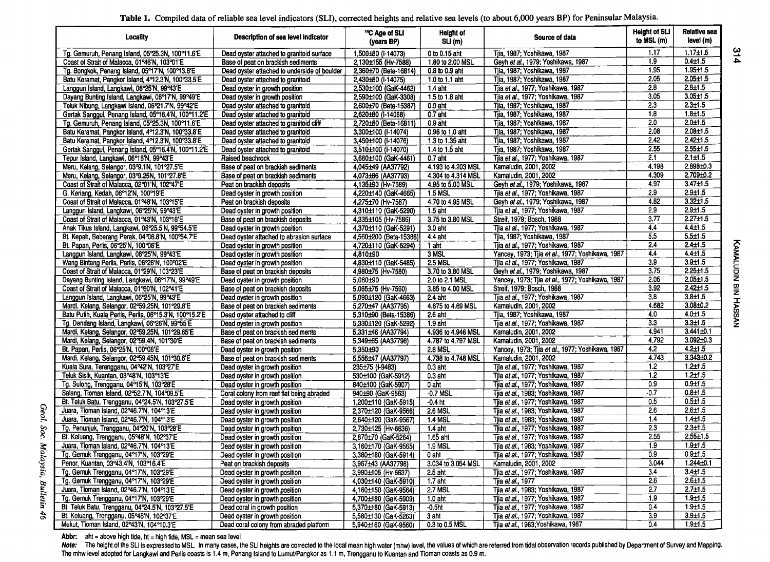|  |  | Table 1. Compiled data of reliable sea level indicators (SLI), corrected heights and relative sea levels (to about 6,000 years BP) for Peninsular Malaysia. |  |  |  |  |
|--|--|-------------------------------------------------------------------------------------------------------------------------------------------------------------|--|--|--|--|
|--|--|-------------------------------------------------------------------------------------------------------------------------------------------------------------|--|--|--|--|

| Locality                                                | Description of sea level indicator           | <sup>14</sup> C Age of SLI<br>(years BP) | Height of<br>SLI(m) | Source of data                                   | <b>Height of SLI</b><br>to MSL (m) | Relative sea<br>level (m) |
|---------------------------------------------------------|----------------------------------------------|------------------------------------------|---------------------|--------------------------------------------------|------------------------------------|---------------------------|
| Tg. Gemuruh, Penang Island, 05°25.3N, 100°11.6'E        | Dead oyster attached to granitoid surface    | 1,500±80 (I-14073)                       | 0 to 0.15 aht       | Tila, 1987; Yoshikawa, 1987                      | 1.17                               | $1.17 + 1.5$              |
| Coast of Strait of Malacca, 01°46'N, 103°01'E           | Base of peat on brackish sediments           | 2,130±155 (Hv-7588)                      | 1.80 to 2.00 MSL    | Geyh et al., 1979; Yoshikawa, 1987               | 1.9                                | $0.4 + 1.5$               |
| Tg. Bongkok, Penang Island, 05°17'N, 100°13.6'E         | Dead oyster attached to underside of boulder | 2,360±70 (Beta-16814)                    | 0.8 to 0.9 aht      | Tiia, 1987; Yoshikawa, 1987                      | 1.95                               | $1.95 \pm 1.5$            |
| Batu Keramat, Pangkor Island, 492.3'N, 100933.5'E       | Dead oyster attached to granitoid            | 2,430±60 (I-14075)                       | 1.0 to 1.1 aht      | Tila, 1987; Yoshikawa, 1987                      | 2.05                               | $2.05 \pm 1.5$            |
| Langgun Island, Langkawi, 06°25'N, 99°43'E              | Dead oyster in growth position               | 2,530±100 (GaK-4462)                     | $1.4$ aht           | Tjia et al., 1977; Yoshikawa, 1987               | 2.8                                | $2.8 + 1.5$               |
| Dayang Bunting Island, Langkawi, 06°17'N, 99°49'E       | Dead oyster in growth position               | 2,590±100 (GaK-3308)                     | 1.5 to 1.8 aht      | Tjia et al., 1977; Yoshikawa, 1987               | 3.05                               | $3.05 + 1.5$              |
| Teluk Nibung, Langkawi Island, 06°21.7'N, 99°42'E       | Dead oyster attached to granitoid            | 2,600±70 (Beta-15387)                    | $0.9$ aht           | Tiia, 1987; Yoshikawa, 1987                      | 2.3                                | $2.3 + 1.5$               |
| Gertak Sanggul, Penang Island, 05°16.4'N, 100°11.2'E    | Dead oyster attached to granitoid            | 2,620±60 (I-14068)                       | $0.7$ aht           | Tjia, 1987; Yoshikawa, 1987                      | 1,8                                | $1.8 + 1.5$               |
| Tg. Gemuruh, Penang Island, 05°25.3N, 100°11.6'E        | Dead oyster attached to granitoid cliff      | 2,720±60 (Beta-16811)                    | $0.9$ aht           | Tija, 1987; Yoshikawa, 1987                      | 2.0                                | $2.0 + 1.5$               |
| Batu Keramat, Pangkor Island, 492.3'N, 100933.8'E       | Dead oyster attached to granitoid            | 3,300±100 (I-14074)                      | 0.96 to 1.0 aht     | Tjia, 1987; Yoshikawa, 1987                      | 2.08                               | $2.08 + 1.5$              |
| Batu Keramat, Pangkor Island, 4912.3'N, 100933.8'E      | Dead oyster attached to granitoid            | 3,450±100 (I-14076)                      | 1.3 to 1.35 aht     | Tjia, 1987; Yoshikawa, 1987                      | 2.42                               | $2.42 \pm 1.5$            |
| Gertak Sanggul, Penang Island, 05°16.4'N, 100°11.2'E    | Dead oyster attached to granitoid            | 3,510±100 (I-14070)                      | 1.4 to 1.5 aht      | Tjia, 1987; Yoshikawa, 1987                      | 2.55                               | $2.55 \pm 1.5$            |
| Tepur Island, Langkawi, 06어6'N, 99°43'E                 | Raised beachrock                             | 3,660±100 (GaK-4461)                     | $0.7$ aht           | Tija et al., 1977; Yoshikawa, 1987               | 2.1                                | $2.1 \pm 1.5$             |
| Meru, Kelang, Selangor, 03°9.1N, 101°27.5'E             | Base of peat on brackish sediments           | 4,045±49 (AA37792)                       | 4.193 to 4.203 MSL  | Kamaludin, 2001, 2002                            | 4.198                              | $2.898 + 0.3$             |
| Meru, Kelang, Selangor, 03°9.25N, 101°27.8'E            | Base of peat on brackish sediments           | 4,073±66 (AA37793)                       | 4.304 to 4.314 MSL  | Kamaludin, 2001, 2002                            | 4.309                              | $2.709 + 0.2$             |
| Coast of Strait of Malacca, 02°01'N, 102°47'E           | Peat on brackish deposits                    | 4,135±90 (Hv-7589)                       | 4.95 to 5.00 MSL    | Geyh et al., 1979; Yoshikawa, 1987               | 4.97                               | $3.47 \pm 1.5$            |
| G. Keriang, Kedah, 06°12'N, 100°19'E                    | Dead oyster in growth position               | 4,220±140 (GaK-4665)                     | <b>1.5 MSL</b>      | Tjia et al., 1977; Yoshikawa, 1987               | 2.9                                | $2.9 + 1.5$               |
| Coast of Strait of Malacca, 01°48'N, 103°15'E           | Peat on brackish deposits                    | 4,275±70 (Hv-7587)                       | 4.70 to 4.95 MSL    | Geyh et al., 1979; Yoshikawa, 1987               | 4.82                               | $3.32 \pm 1.5$            |
| Langgun Island, Langkawi, 06°25'N, 99°43'E              | Dead oyster in growth position               | 4.310±110 (GaK-5290)                     | $1.5$ aht           | Tija et al., 1977; Yoshikawa, 1987               | 2.9                                | $2.9 + 1.5$               |
| Coast of Strait of Malacca, 01°43'N, 103°18'E           | Base of peat on brackish deposits            | 4,335±105 (Hv-7586)                      | 3.75 to 3.80 MSL    | Streif, 1979; Bosch, 1988                        | 3.77                               | $2.27 \pm 1.5$            |
| Anak Tikus Island, Langkawi, 06°25.5'N, 99°54.5'E       | Dead oyster in growth position               | 4,370±110 (GaK-5291)                     | 3.0 aht             | Tjia et al., 1977; Yoshikawa, 1987               | 4.4                                | $4.4 \pm 1.5$             |
| Bt. Kepah, Seberang Perak, 04°06.8'N, 100°54.7'E        | Dead oyster attached to abrasion surface     | 4,560±200 (Beta-15388)                   | 4.4 aht             | Tila, 1987; Yoshikawa, 1987                      | 5.5                                | $5.5 + 1.5$               |
| Bt. Papan, Perlis, 06°25'N, 100°06'E                    | Dead oyster in growth position               | 4,720±110 (GaK-5294)                     | 1 aht               | Tjia et al., 1977; Yoshikawa, 1987               | 2.4                                | $2.4 \pm 1.5$             |
| Langgun Island, Langkawi, 06°25'N, 99°43'E              | Dead oyster in growth position               | 4.810±90                                 | 3 MSL               | Yancey, 1973; Tjia et al., 1977; Yoshikawa, 1987 | 4.4                                | $4.4 \pm 1.5$             |
| Wang Bintang Perlis, Perlis, 06°28'N, 100°02'E          | Dead oyster in growth position               | 4,830±110 (GaK-5485)                     | <b>2.5 MSL</b>      | Tija et al., 1977; Yoshikawa, 1987               | 3.9                                | $3.9 + 1.5$               |
| Coast of Strait of Malacca, 01°29'N, 103°23'E           | Base of peat on brackish deposits            | 4,980±75 (Hv-7580)                       | 3.70 to 3.80 MSL    | Geyh et al., 1979; Yoshikawa, 1987               | 3.75                               | $2.25 \pm 1.5$            |
| Dayang Bunting Island, Langkawi, 06°17'N, 99°49'E       | Dead oyster in growth position               | 5.060±90                                 | 2.0 to 2.1 MSL      | Yancey, 1973; Tjia et al., 1977; Yoshikawa, 1987 | 2.05                               | $2.05 \pm 1.5$            |
| Coast of Strait of Malacca, 01°60'N, 102°41'E           | Base of peat on brackish deposits            | 5,065±75 (Hv-7590)                       | 3.85 to 4.00 MSL    | Streif, 1979; Bosch, 1988                        | 3.92                               | $2.42 \pm 1.5$            |
| Langgun Island, Langkawi, 06°25'N, 99°43'E              | Dead oyster in growth position               | 5,090±120 (GaK-4663)                     | 2.4 aht             | Tjia et al., 1977; Yoshikawa, 1987               | 3.8                                | $3.8 + 1.5$               |
| Mardi, Kelang, Selangor, 02°59.25N, 101°29.8'E          | Base of peat on brackish sediments           | 5,270±47 (AA37795)                       | 4.675 to 4.69 MSL   | Kamaludin, 2001, 2002                            | 4.682                              | $3.08 + 0.2$              |
| Batu Putih, Kuala Pertis, Perlis, 06°15.3'N, 100°15.2'E | Dead oyster attached to cliff                | 5,310±90 (Beta-15386)                    | 2.6 aht             | Tjia, 1987; Yoshikawa, 1987                      | 4.0                                | $4.0 \pm 1.5$             |
| Tg. Dendang Island, Langkawi, 06°26'N, 99°55'E          | Dead oyster in growth position               | 5,330±120 (GaK-5292)                     | 1.9 aht             | Tija et al., 1977; Yoshikawa, 1987               | 3.3                                | $3.3 + 1.5$               |
| Mardi, Kelang, Selangor, 02°59.25N, 101°29.65'E         | Base of peat on brackish sediments           | 5,331±46 (AA37794)                       | 4.936 to 4.946 MSL  | Kamaludin, 2001, 2002                            | 4.941                              | $3.441 + 0.1$             |
| Mardi, Kelang, Selangor, 02°59.4N, 101°30'E             | Base of peat on brackish sediments           | 5,349±65 (AA37796)                       | 4.787 to 4.797 MSL  | Kamaludin, 2001, 2002                            | 4.792                              | $3.092 + 0.3$             |
| Bt. Papan, Perlis, 06°25'N, 100°06'E                    | Dead oyster in growth position               | 5,350±90                                 | <b>2.8 MSL</b>      | Yancey, 1973; Tjia et al., 1977; Yoshikawa, 1987 | 4.2                                | $4.2 \pm 1.5$             |
| Mardi, Kelang, Selangor, 02°59.45N, 101°30.6'E          | Base of peat on brackish sediments           | 5,556±47 (AA37797)                       | 4.738 to 4.748 MSL  | Kamaludin, 2001, 2002                            | 4.743                              | $3.343 + 0.2$             |
| Kuala Sura, Terengganu, 04°42'N, 103°27'E               | Dead oyster in growth position               | 235±75 (I-9483)                          | $0.3$ aht           | Tija et al., 1977; Yoshikawa, 1987               | $\overline{1.2}$                   | $1.2 + 1.5$               |
| Teluk Sisik, Kuantan, 03°48'N, 103°13'E                 | Dead oyster in growth position               | 530±100 (GaK-5912)                       | $0.3$ aht           | Tjia et al., 1977; Yoshikawa, 1987               | 1.2                                | $1.2 + 1.5$               |
| Tg. Sulong, Trengganu, 04°15'N, 103°28'E                | Dead oyster in growth position               | 840±100 (GaK-5907)                       | 0 aht               | Tjia et al., 1977; Yoshikawa, 1987               | 0.9                                | $0.9 + 1.5$               |
| Salang, Tioman Island, 02°52.7'N, 104°09.5'E            | Coral colony from reef flat being abraded    | 940±90 (GaK-9563)                        | -0.7 MSL            | Tjia et al., 1983; Yoshikawa, 1987               | $-0.7$                             | $0.8 + 1.5$               |
| Bt. Teluk Batu, Trengganu, 04°24.5'N, 103°27.5'E        | Dead oyster in growth position               | 1,200±110 (GaK-5915)                     | $-0.4$ ht           | Tjia et al., 1977; Yoshikawa, 1987               | 0.5                                | $0.5 + 1.5$               |
| Juara, Tioman Island, 02°46.7'N, 104°13'E               | Dead oyster in growth position               | 2,370±120 (GaK-9566)                     | 2.6 MSL             | Tjia et al., 1983; Yoshikawa, 1987               | 2.6                                | $2.6 + 1.5$               |
| Juara, Tioman Island, 02°46.7'N, 104°13'E               | Dead oyster in growth position               | 2,640±120 (GaK-9567)                     | <b>1.4 MSL</b>      | Tjia et al., 1983; Yoshikawa, 1987               | 1.4                                | $1.4 \pm 1.5$             |
| Tg. Penunjuk, Trengganu, 04°20'N, 103°28'E              | Dead oyster in growth position               | 2,730±125 (Hv-6636)                      | 1.4 aht             | Tjia et al., 1977; Yoshikawa, 1987               | 23                                 | $2.3 \pm 1.5$             |
| Bt. Keluang, Trengganu, 05°48'N, 102°37'E               | Dead oyster in growth position               | 2,870±70 (GaK-5264)                      | 1.65 aht            | Tija et al., 1977; Yoshikawa, 1987               | 2.55                               | $2.55 \pm 1.5$            |
| Juara, Tioman Island, 02°46.7'N, 104°13'E               | Dead oyster in growth position               | 3,160±170 (GaK-9565)                     | $1.9$ MSL           | Tija et al., 1983; Yoshikawa, 1987               | 1.9                                | $1.9 + 1.5$               |
| Tg. Gemuk Trengganu, 04°17'N, 103°29'E                  | Dead oyster in growth position               | 3,380±180 (GaK-5914)                     | 0 aht               | Tjia et al., 1977; Yoshikawa, 1987               | 0.9                                | $0.9 + 1.5$               |
| Penor, Kuantan, 03°43.4'N, 103°16.4'E                   | Peat on brackish deposits                    | 3,967±43 (AA37798)                       | 3.034 to 3.054 MSL  | Kamaludin, 2001, 2002                            | 3.044                              | $1.244 + 0.1$             |
| Tg. Gemuk Trengganu, 04°17'N, 103°29'E                  | Dead oyster in growth position               | 3,990±105 (Hv-6637)                      | 2.5 aht             | Tjia et al., 1977; Yoshikawa, 1987               | 3.4                                | $3.4 + 1.5$               |
| Tg. Gemuk Trengganu, 04°17'N, 103°29'E                  | Dead oyster in growth position               | 4,030±140 (GaK-5910)                     | 1.7 aht             | Tjia et al., 1977                                | 2.6                                | $2.6 + 1.5$               |
| Juara, Tioman Island, 02°46.7'N, 104°13'E               | Dead oyster in growth position               | 4,160±150 (GaK-9564)                     | <b>2.7 MSL</b>      | Tjia et al., 1983; Yoshikawa, 1987               | $\overline{2.7}$                   | $2.7 \pm 1.5$             |
| Tg. Gemuk Trengganu, 04°17'N, 103°29'E                  | Dead oyster in growth position               | 4,700±180 (GaK-5909)                     | $1.0$ aht           | Tjia et al., 1977; Yoshikawa, 1987               | $\overline{1.9}$                   | $1.9 + 1.5$               |
| Bt. Teluk Batu, Trengganu, 04°24.5'N, 103°27.5'E        | Dead coral in growth position                | 5,370±180 (GaK-5913)                     | $-0.5$ ht           | Tjia et al., 1977; Yoshikawa, 1987               | 0.4                                | $1.9 + 1.5$               |
| Bt. Keluang, Trengganu, 05°48'N, 102°37'E               | Dead oyster in growth position               | 5,580±130 (GaK-5263)                     | 3 aht               | Tjia et al., 1977; Yoshikawa, 1987               | 3.9                                | $3.9 + 1.5$               |
| Mukut, Tioman Island, 02°43'N, 104°10.3'E               | Dead coral colony from abraded platform      | 5,940±160 (GaK-9560)                     | 0.3 to 0.5 MSL      | Tjia et al., 1983; Yoshikawa, 1987               | 0.4                                | $1.9 + 1.5$               |

Abbr: aht = above high tide, ht = high tide, MSL = mean sea level

Geol. Soc. Malaysia, Bulletin 46

514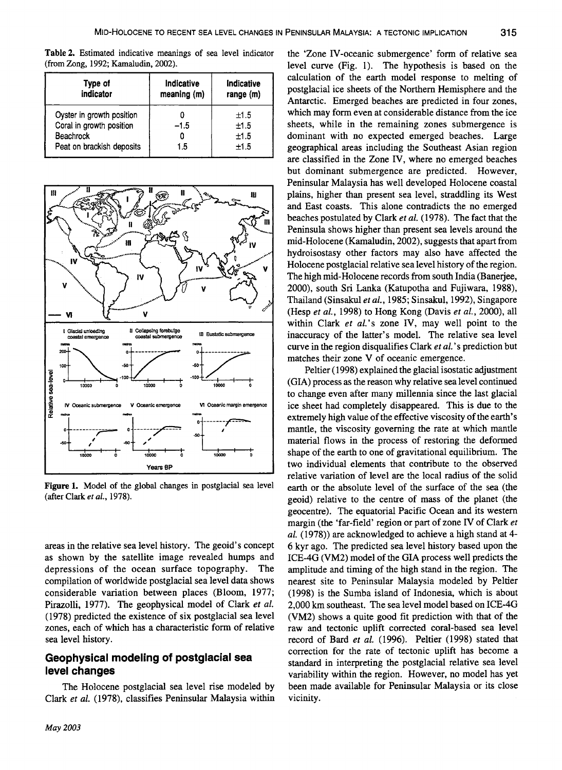Table 2. Estimated indicative meanings of sea level indicator (from Zong, 1992; Kamaludin, 2002).

| Type of<br>indicator      | Indicative<br>meaning (m) | Indicative<br>range $(m)$ |
|---------------------------|---------------------------|---------------------------|
| Oyster in growth position |                           | ±1.5                      |
| Coral in growth position  | $-1.5$                    | ±1.5                      |
| <b>Beachrock</b>          |                           | ±1.5                      |
| Peat on brackish deposits | 1.5                       | ±1.5                      |



Figure 1. Model of the global changes in postglacial sea level (after Clark *et ai.,* 1978).

areas in the relative sea level history. The geoid's concept as shown by the satellite image revealed humps and depressions of the ocean surface topography. The compilation of worldwide postglacial sea level data shows considerable variation between places (Bloom, 1977; Pirazolli, 1977). The geophysical model of Clark *et* at. (1978) predicted the existence of six postglacial sea level zones, each of which has a characteristic form of relative sea level history.

### Geophysical modeling of postglacial sea level changes

The Holocene postglacial sea level rise modeled by Clark *et al.* (1978), classifies Peninsular Malaysia within

the 'Zone IV-oceanic submergence' form of relative sea level curve (Fig. 1). The hypothesis is based on the calculation of the earth model response to melting of postglacial ice sheets of the Northern Hemisphere and the Antarctic. Emerged beaches are predicted in four zones, which may form even at considerable distance from the ice sheets, while in the remaining zones submergence is dominant with no expected emerged beaches. Large geographical areas including the Southeast Asian region are classified in the Zone IV, where no emerged beaches but dominant submergence are predicted. However, Peninsular Malaysia has well developed Holocene coastal plains, higher than present sea level, straddling its West and East coasts. This alone contradicts the no emerged beaches postulated by Clark *et al.* (1978). The fact that the Peninsula shows higher than present sea levels around the mid-Holocene (Kamaludin, 2002), suggests that apart from hydroisostasy other factors may also have affected the Holocene postglacial relative sea level history of the region. The high mid-Holocene records from south India (Banerjee, 2000), south Sri Lanka (Katupotha and Fujiwara, 1988), Thailand (Sinsakul *et* aI., 1985; Sinsakul, 1992), Singapore (Hesp *et* a/., 1998) to Hong Kong (Davis *et* at., 2000), all within Clark *et al.*'s zone IV, may well point to the inaccuracy of the latter's model. The relative sea level curve in the region disqualifies Clark *et al.* 's prediction but matches their zone V of oceanic emergence.

Peltier (1998) explained the glacial isostatic adjustment (GIA) process as the reason why relative sea level continued to change even after many millennia since the last glacial ice sheet had completely disappeared. This is due to the extremely high value of the effective viscosity of the earth's mantle, the viscosity governing the rate at which mantle material flows in the process of restoring the deformed shape of the earth to one of gravitational equilibrium. The two individual elements that contribute to the observed relative variation of level are the local radius of the solid earth or the absolute level of the surface of the sea (the geoid) relative to the centre of mass of the planet (the geocentre). The equatorial Pacific Ocean and its western margin (the 'far-field' region or part of zone IV of Clark *et*  al. (1978)) are acknowledged to achieve a high stand at 4-6 kyr ago. The predicted sea level history based upon the ICE-4G (VM2) model of the GIA process well predicts the amplitude and timing of the high stand in the region. The nearest site to Peninsular Malaysia modeled by Peltier (1998) is the Sumba island of Indonesia, which is about 2,000 km southeast. The sea level model based on ICE-4G (VM2) shows a quite good fit prediction with that of the raw and tectonic uplift corrected coral-based sea level record of Bard *et al.* (1996). Peltier (1998) stated that correction for the rate of tectonic uplift has become a standard in interpreting the postglacial relative sea level variability within the region. However, no model has yet been made available for Peninsular Malaysia or its close vicinity.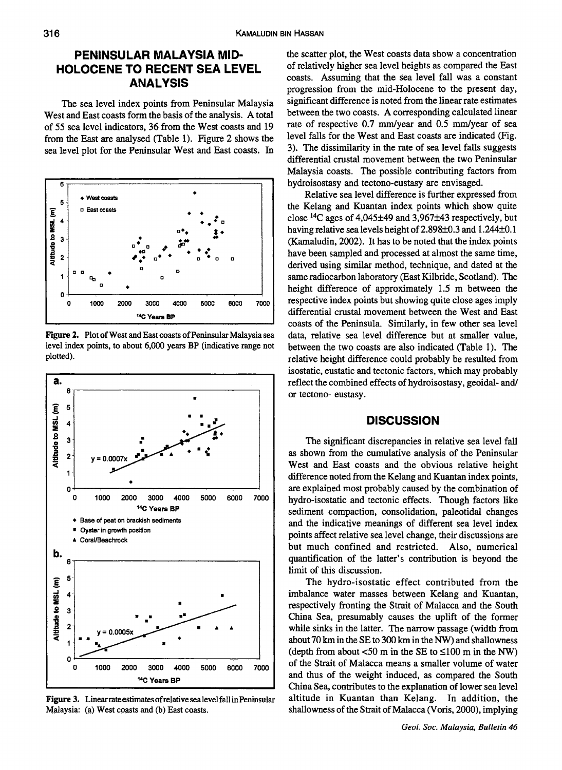# **PENINSULAR MALAYSIA MID-HOLOCENE TO RECENT SEA LEVEL ANALYSIS**

The sea level index points from Peninsular Malaysia West and East coasts form the basis of the analysis. A total of 55 sea level indicators, 36 from the West coasts and 19 from the East are analysed (Table 1). Figure 2 shows the sea level plot for the Peninsular West and East coasts. In



Figure 2. Plot of West and East coasts of Peninsular Malaysia sea level index points, to about 6,000 years BP (indicative range not plotted).



Figure 3. Linear rate estimates of relative sealevel fall in Peninsular Malaysia: (a) West coasts and (b) East coasts.

the scatter plot, the West coasts data show a concentration of relatively higher sea level heights as compared the East coasts. Assuming that the sea level fall was a constant progression from the mid-Holocene to the present day, significant difference is noted from the linear rate estimates between the two coasts. A corresponding calculated linear rate of respective 0.7 mm/year and 0.5 mm/year of sea level falls for the West and East coasts are indicated (Fig. 3). The dissimilarity in the rate of sea level falls suggests differential crustal movement between the two Peninsular Malaysia coasts. The possible contributing factors from hydroisostasy and tectono-eustasy are envisaged.

Relative sea level difference is further expressed from the Kelang and Kuantan index points which show quite close  $^{14}$ C ages of 4,045 $\pm$ 49 and 3,967 $\pm$ 43 respectively, but having relative sea levels height of 2.898±0.3 and 1.244±0.1 (Kamaludin, 2002). It has to be noted that the index points have been sampled and processed at almost the same time, derived using similar method, technique, and dated at the same radiocarbon laboratory (East Kilbride, Scotland). The height difference of approximately 1.5 m between the respective index points but showing quite close ages imply differential crustal movement between the West and East coasts of the Peninsula. Similarly, in few other sea level data, relative sea level difference but at smaller value, between the two coasts are also indicated (Table 1). The relative height difference could probably be resulted from isostatic, eustatic and tectonic factors, which may probably reflect the combined effects of hydroisostasy, geoidal- and/ or tectono- eustasy .

#### **DISCUSSION**

The significant discrepancies in relative sea level fall as shown from the cumulative analysis of the Peninsular West and East coasts and the obvious relative height difference noted from the Kelang and Kuantan index points, are explained most probably caused by the combination of hydro-isostatic and tectonic effects. Though factors like sediment compaction, consolidation, paleotidal changes and the indicative meanings of different sea level index points affect relative sea level change, their discussions are but much confined and restricted. Also, numerical quantification of the latter's contribution is beyond the limit of this discussion.

The hydro-isostatic effect contributed from the imbalance water masses between Kelang and Kuantan, respectively fronting the Strait of Malacca and the South China Sea, presumably causes the uplift of the former while sinks in the latter. The narrow passage (width from about 70 km in the SE to 300 km in the NW) and shallowness (depth from about  $\leq 50$  m in the SE to  $\leq 100$  m in the NW) of the Strait of Malacca means a smaller volume of water and thus of the weight induced, as compared the South China Sea, contributes to the explanation of lower sea level altitude in Kuantan than Kelang. In addition, the shallowness of the Strait of Malacca (Voris, 2000), implying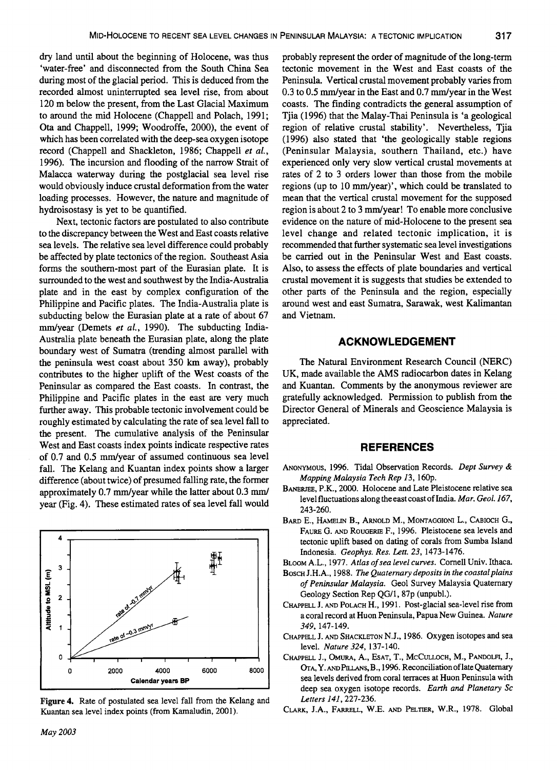dry land until about the beginning of Holocene, was thus 'water-free' and disconnected from the South China Sea during most of the glacial period. This is deduced from the recorded almost uninterrupted sea level rise, from about 120 m below the present, from the Last Glacial Maximum to around the mid Holocene (Chappell and Polach, 1991; Ota and Chappell, 1999; Woodroffe, 2000), the event of which has been correlated with the deep-sea oxygen isotope record (Chappell and Shackleton, 1986; Chappell *et al.,*  1996). The incursion and flooding of the narrow Strait of Malacca waterway during the postglacial sea level rise would obviously induce crustal deformation from the water loading processes. However, the nature and magnitude of hydroisostasy is yet to be quantified.

Next, tectonic factors are postulated to also contribute to the discrepancy between the West and East coasts relative sea levels. The relative sea level difference could probably be affected by plate tectonics of the region. Southeast Asia forms the southern-most part of the Eurasian plate. It is surrounded to the west and southwest by the India-Australia plate and in the east by complex configuration of the Philippine and Pacific plates. The India-Australia plate is subducting below the Eurasian plate at a rate of about 67 mm/year (Demets *et al.,* 1990). The subducting India-Australia plate beneath the Eurasian plate, along the plate boundary west of Sumatra (trending almost parallel with the peninsula west coast about 350 km away), probably contributes to the higher uplift of the West coasts of the Peninsular as compared the East coasts. In contrast, the Philippine and Pacific plates in the east are very much further away. This probable tectonic involvement could be roughly estimated by calculating the rate of sea level fall to the present. The cumulative analysis of the Peninsular West and East coasts index points indicate respective rates of 0.7 and 0.5 mm/year of assumed continuous sea level fall. The Kelang and Kuantan index points show a larger difference (about twice) of presumed falling rate, the former approximately 0.7 mm/year while the latter about 0.3 mm/ year (Fig. 4). These estimated rates of sea level fall would



Figure 4. Rate of postulated sea level fall from the Kelang and Kuantan sea level index points (from Kamaludin, 2001).

probably represent the order of magnitude of the long-term tectonic movement in the West and East coasts of the Peninsula. Vertical crustal movement probably varies from 0.3 to 0.5 mm/year in the East and 0.7 mm/year in the West coasts. The finding contradicts the general assumption of Tjia (1996) that the Malay-Thai Peninsula is 'a geological region of relative crustal stability'. Nevertheless, Tjia (1996) also stated that 'the geologically stable regions (Peninsular Malaysia, southern Thailand, etc.) have experienced only very slow vertical crustal movements at rates of 2 to 3 orders lower than those from the mobile regions (up to 10 mm/year)', which could be translated to mean that the vertical crustal movement for the supposed region is about 2 to 3 mm/year! To enable more conclusive evidence on the nature of mid-Holocene to the present sea level change and related tectonic implication, it is recommended that further systematic sea level investigations be carried out in the Peninsular West and East coasts. Also, to assess the effects of plate boundaries and vertical crustal movement it is suggests that studies be extended to other parts of the Peninsula and the region, especially around west and east Sumatra, Sarawak, west Kalimantan and Vietnam.

#### **ACKNOWLEDGEMENT**

The Natural Environment Research Council (NERC) UK, made available the AMS radiocarbon dates in Kelang and Kuantan. Comments by the anonymous reviewer are gratefully acknowledged. Permission to publish from the Director General of Minerals and Geoscience Malaysia is appreciated.

#### **REFERENCES**

- ANONYMOUS, 1996. Tidal Observation Records. *Dept Survey* & *Mapping Malaysia Tech Rep* 13, 16Op.
- BANERJEE, P.K., 2000. Holocene and Late Pleistocene relative sea level fluctuations along the east coast of India. *Mar. Geol.167,*  243-260.
- BARD E., HAMELIN B., ARNOLD M., MONTAGGIONI L., CABIOCH G., FAURE G. AND ROUGERIE F., 1996. Pleistocene sea levels and tectonic uplift based on dating of corals from Sumba Island Indonesia. *Geophys. Res. Lett.* 23, 1473-1476.
- BLOOM A.L., 1977. *Atlas of sea level curves.* Cornell Univ. Ithaca.
- BOSCH J .H.A., 1988. *The Quaternary deposits in the coastal plains of Peninsular Malaysia.* Geol Survey Malaysia Quaternary Geology Section Rep *QG/l,* 87p (unpubl.).
- CHAPPELL J. AND POLACH H., 1991. Post-glacial sea-level rise from a coral record at Huon Peninsula, Papua New Guinea. *Nature*  349, 147-149.
- CHAPPELL J. AND SHACKLETON N.J., 1986. Oxygen isotopes and sea level. *Nature* 324, 137-140.
- CHAPPELL I, OMURA, A., EsAT, T., McCULLOCH, M., PANDOLFI, J., OTA, Y. AND PILLANS, B., 1996. Reconciliation of late Quaternary sea levels derived from coral terraces at Huon Peninsula with deep sea oxygen isotope records. *Earth and Planetary Sc Letters* 141, 227-236.
- CLARK, J.A., FARRELL, W.E. AND PELTIER, W.R., 1978. Global